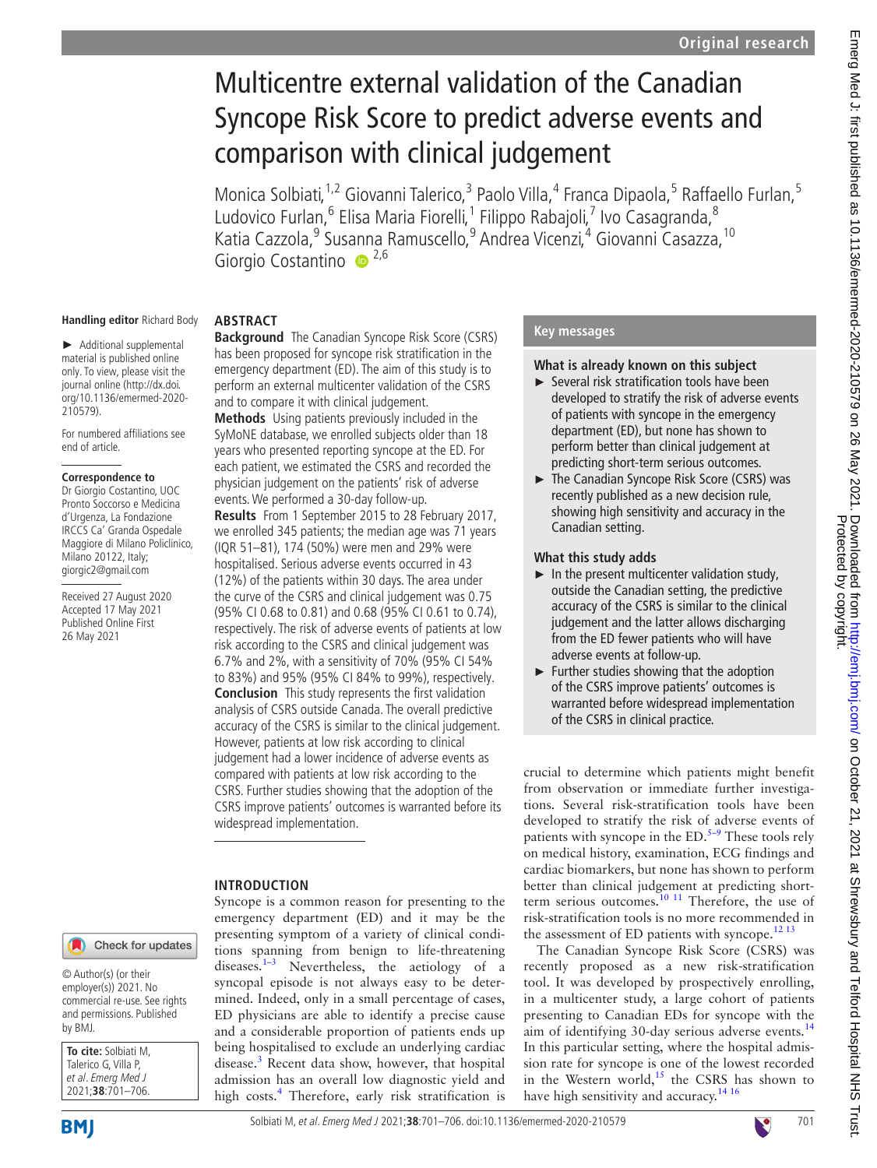# Multicentre external validation of the Canadian Syncope Risk Score to predict adverse events and comparison with clinical judgement

Monica Solbiati, <sup>1,2</sup> Giovanni Talerico, <sup>3</sup> Paolo Villa, <sup>4</sup> Franca Dipaola, <sup>5</sup> Raffaello Furlan, <sup>5</sup> Ludovico Furlan,<sup>6</sup> Elisa Maria Fiorelli,<sup>1</sup> Filippo Rabajoli,<sup>7</sup> Ivo Casagranda,<sup>8</sup> Katia Cazzola,<sup>9</sup> Sus[ann](http://orcid.org/0000-0002-6391-3849)a Ramuscello,<sup>9</sup> Andrea Vicenzi,<sup>4</sup> Giovanni Casazza, <sup>10</sup> Giorgio Costantino <sup>2,6</sup>

#### **Handling editor** Richard Body

► Additional supplemental material is published online only. To view, please visit the journal online (http://dx.doi. org/10.1136/emermed-2020- 210579).

For numbered affiliations see end of article.

#### **Correspondence to**

Dr Giorgio Costantino, UOC Pronto Soccorso e Medicina d'Urgenza, La Fondazione IRCCS Ca' Granda Ospedale Maggiore di Milano Policlinico, Milano 20122, Italy; giorgic2@gmail.com

Received 27 August 2020 Accepted 17 May 2021 Published Online First 26 May 2021

#### **ABSTRACT**

**Background** The Canadian Syncope Risk Score (CSRS) has been proposed for syncope risk stratification in the emergency department (ED). The aim of this study is to perform an external multicenter validation of the CSRS and to compare it with clinical judgement.

**Methods** Using patients previously included in the SyMoNE database, we enrolled subjects older than 18 years who presented reporting syncope at the ED. For each patient, we estimated the CSRS and recorded the physician judgement on the patients' risk of adverse events. We performed a 30-day follow-up.

**Results** From 1 September 2015 to 28 February 2017, we enrolled 345 patients; the median age was 71 years (IQR 51–81), 174 (50%) were men and 29% were hospitalised. Serious adverse events occurred in 43 (12%) of the patients within 30 days. The area under the curve of the CSRS and clinical judgement was 0.75 (95% CI 0.68 to 0.81) and 0.68 (95% CI 0.61 to 0.74), respectively. The risk of adverse events of patients at low risk according to the CSRS and clinical judgement was 6.7% and 2%, with a sensitivity of 70% (95% CI 54% to 83%) and 95% (95% CI 84% to 99%), respectively. **Conclusion** This study represents the first validation analysis of CSRS outside Canada. The overall predictive accuracy of the CSRS is similar to the clinical judgement. However, patients at low risk according to clinical judgement had a lower incidence of adverse events as compared with patients at low risk according to the CSRS. Further studies showing that the adoption of the CSRS improve patients' outcomes is warranted before its widespread implementation.

#### **INTRODUCTION**

Syncope is a common reason for presenting to the emergency department (ED) and it may be the presenting symptom of a variety of clinical conditions spanning from benign to life-threatening diseases[.1–3](#page-4-0) Nevertheless, the aetiology of a syncopal episode is not always easy to be determined. Indeed, only in a small percentage of cases, ED physicians are able to identify a precise cause and a considerable proportion of patients ends up being hospitalised to exclude an underlying cardiac disease.<sup>[3](#page-4-1)</sup> Recent data show, however, that hospital admission has an overall low diagnostic yield and high costs.<sup>4</sup> Therefore, early risk stratification is

#### **Key messages**

#### **What is already known on this subject**

- ► Several risk stratification tools have been developed to stratify the risk of adverse events of patients with syncope in the emergency department (ED), but none has shown to perform better than clinical judgement at predicting short-term serious outcomes.
- ► The Canadian Syncope Risk Score (CSRS) was recently published as a new decision rule, showing high sensitivity and accuracy in the Canadian setting.

#### **What this study adds**

- $\blacktriangleright$  In the present multicenter validation study, outside the Canadian setting, the predictive accuracy of the CSRS is similar to the clinical judgement and the latter allows discharging from the ED fewer patients who will have adverse events at follow-up.
- ► Further studies showing that the adoption of the CSRS improve patients' outcomes is warranted before widespread implementation of the CSRS in clinical practice.

crucial to determine which patients might benefit from observation or immediate further investigations. Several risk-stratification tools have been developed to stratify the risk of adverse events of patients with syncope in the  $ED.^{5-9}$  These tools rely on medical history, examination, ECG findings and cardiac biomarkers, but none has shown to perform better than clinical judgement at predicting shortterm serious outcomes.<sup>10 11</sup> Therefore, the use of risk-stratification tools is no more recommended in the assessment of ED patients with syncope.<sup>[12 13](#page-5-1)</sup>

The Canadian Syncope Risk Score (CSRS) was recently proposed as a new risk-stratification tool. It was developed by prospectively enrolling, in a multicenter study, a large cohort of patients presenting to Canadian EDs for syncope with the aim of identifying 30-day serious adverse events.<sup>[14](#page-5-2)</sup> In this particular setting, where the hospital admission rate for syncope is one of the lowest recorded in the Western world,<sup>15</sup> the CSRS has shown to have high sensitivity and accuracy.<sup>[14 16](#page-5-2)</sup>

© Author(s) (or their employer(s)) 2021. No commercial re-use. See rights and permissions. Published by BMJ.

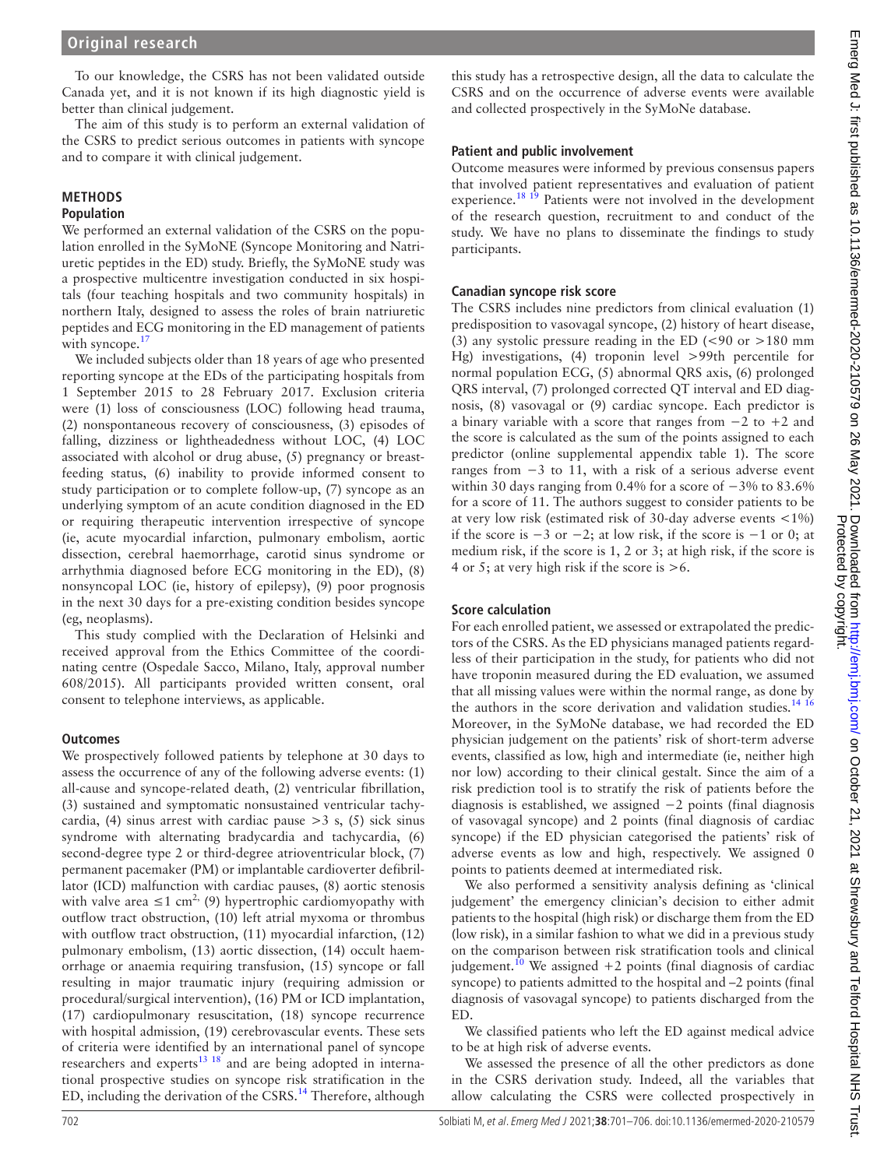To our knowledge, the CSRS has not been validated outside Canada yet, and it is not known if its high diagnostic yield is better than clinical judgement.

The aim of this study is to perform an external validation of the CSRS to predict serious outcomes in patients with syncope and to compare it with clinical judgement.

# **METHODS**

# **Population**

We performed an external validation of the CSRS on the population enrolled in the SyMoNE (Syncope Monitoring and Natriuretic peptides in the ED) study. Briefly, the SyMoNE study was a prospective multicentre investigation conducted in six hospitals (four teaching hospitals and two community hospitals) in northern Italy, designed to assess the roles of brain natriuretic peptides and ECG monitoring in the ED management of patients with syncope. $<sup>1</sup>$ </sup>

We included subjects older than 18 years of age who presented reporting syncope at the EDs of the participating hospitals from 1 September 2015 to 28 February 2017. Exclusion criteria were (1) loss of consciousness (LOC) following head trauma, (2) nonspontaneous recovery of consciousness, (3) episodes of falling, dizziness or lightheadedness without LOC, (4) LOC associated with alcohol or drug abuse, (5) pregnancy or breastfeeding status, (6) inability to provide informed consent to study participation or to complete follow-up, (7) syncope as an underlying symptom of an acute condition diagnosed in the ED or requiring therapeutic intervention irrespective of syncope (ie, acute myocardial infarction, pulmonary embolism, aortic dissection, cerebral haemorrhage, carotid sinus syndrome or arrhythmia diagnosed before ECG monitoring in the ED), (8) nonsyncopal LOC (ie, history of epilepsy), (9) poor prognosis in the next 30 days for a pre-existing condition besides syncope (eg, neoplasms).

This study complied with the Declaration of Helsinki and received approval from the Ethics Committee of the coordinating centre (Ospedale Sacco, Milano, Italy, approval number 608/2015). All participants provided written consent, oral consent to telephone interviews, as applicable.

#### **Outcomes**

We prospectively followed patients by telephone at 30 days to assess the occurrence of any of the following adverse events: (1) all-cause and syncope-related death, (2) ventricular fibrillation, (3) sustained and symptomatic nonsustained ventricular tachycardia, (4) sinus arrest with cardiac pause  $>$  3 s, (5) sick sinus syndrome with alternating bradycardia and tachycardia, (6) second-degree type 2 or third-degree atrioventricular block, (7) permanent pacemaker (PM) or implantable cardioverter defibrillator (ICD) malfunction with cardiac pauses, (8) aortic stenosis with valve area  $\leq 1$  cm<sup>2,</sup> (9) hypertrophic cardiomyopathy with outflow tract obstruction, (10) left atrial myxoma or thrombus with outflow tract obstruction,  $(11)$  myocardial infarction,  $(12)$ pulmonary embolism, (13) aortic dissection, (14) occult haemorrhage or anaemia requiring transfusion, (15) syncope or fall resulting in major traumatic injury (requiring admission or procedural/surgical intervention), (16) PM or ICD implantation, (17) cardiopulmonary resuscitation, (18) syncope recurrence with hospital admission, (19) cerebrovascular events. These sets of criteria were identified by an international panel of syncope researchers and experts<sup>[13 18](#page-5-5)</sup> and are being adopted in international prospective studies on syncope risk stratification in the ED, including the derivation of the CSRS[.14](#page-5-2) Therefore, although

this study has a retrospective design, all the data to calculate the CSRS and on the occurrence of adverse events were available and collected prospectively in the SyMoNe database.

#### **Patient and public involvement**

Outcome measures were informed by previous consensus papers that involved patient representatives and evaluation of patient experience.<sup>18</sup> <sup>19</sup> Patients were not involved in the development of the research question, recruitment to and conduct of the study. We have no plans to disseminate the findings to study participants.

#### **Canadian syncope risk score**

The CSRS includes nine predictors from clinical evaluation (1) predisposition to vasovagal syncope, (2) history of heart disease, (3) any systolic pressure reading in the ED (<90 or >180 mm Hg) investigations, (4) troponin level >99th percentile for normal population ECG, (5) abnormal QRS axis, (6) prolonged QRS interval, (7) prolonged corrected QT interval and ED diagnosis, (8) vasovagal or (9) cardiac syncope. Each predictor is a binary variable with a score that ranges from −2 to +2 and the score is calculated as the sum of the points assigned to each predictor ([online supplemental appendix table 1](https://dx.doi.org/10.1136/emermed-2020-210579)). The score ranges from −3 to 11, with a risk of a serious adverse event within 30 days ranging from 0.4% for a score of −3% to 83.6% for a score of 11. The authors suggest to consider patients to be at very low risk (estimated risk of 30-day adverse events <1%) if the score is  $-3$  or  $-2$ ; at low risk, if the score is  $-1$  or 0; at medium risk, if the score is 1, 2 or 3; at high risk, if the score is 4 or 5; at very high risk if the score is  $>6$ .

# **Score calculation**

For each enrolled patient, we assessed or extrapolated the predictors of the CSRS. As the ED physicians managed patients regardless of their participation in the study, for patients who did not have troponin measured during the ED evaluation, we assumed that all missing values were within the normal range, as done by the authors in the score derivation and validation studies.<sup>[14 16](#page-5-2)</sup> Moreover, in the SyMoNe database, we had recorded the ED physician judgement on the patients' risk of short-term adverse events, classified as low, high and intermediate (ie, neither high nor low) according to their clinical gestalt. Since the aim of a risk prediction tool is to stratify the risk of patients before the diagnosis is established, we assigned −2 points (final diagnosis of vasovagal syncope) and 2 points (final diagnosis of cardiac syncope) if the ED physician categorised the patients' risk of adverse events as low and high, respectively. We assigned 0 points to patients deemed at intermediated risk.

We also performed a sensitivity analysis defining as 'clinical judgement' the emergency clinician's decision to either admit patients to the hospital (high risk) or discharge them from the ED (low risk), in a similar fashion to what we did in a previous study on the comparison between risk stratification tools and clinical judgement.<sup>[10](#page-5-0)</sup> We assigned  $+2$  points (final diagnosis of cardiac syncope) to patients admitted to the hospital and –2 points (final diagnosis of vasovagal syncope) to patients discharged from the ED.

We classified patients who left the ED against medical advice to be at high risk of adverse events.

We assessed the presence of all the other predictors as done in the CSRS derivation study. Indeed, all the variables that allow calculating the CSRS were collected prospectively in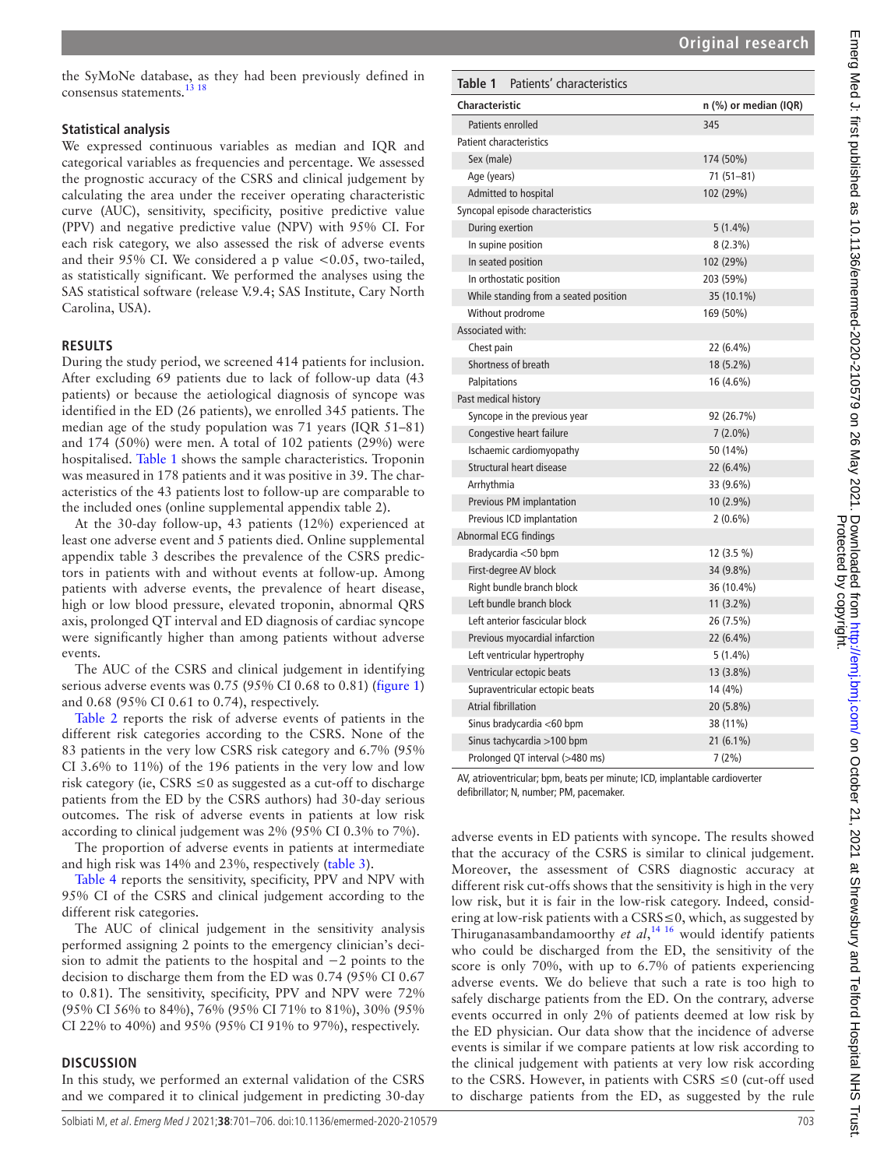Emerg Med J: first published as 10.1136/emermed-2020-210579 on 26 May 2021. Downloaded from http://emj.bmj.com/ on October 21, 2021 at Shrewsbury and Telford Hospital NHS Trust<br>Protected by copyright on the Protected by co Emerg Wed J: first published as 10.1136/emermed-2020-210579 on 26 May 2021. Downloaded from http://emj.com/ en Protected by copyright.

the SyMoNe database, as they had been previously defined in consensus statements.<sup>13</sup> 18

#### **Statistical analysis**

We expressed continuous variables as median and IQR and categorical variables as frequencies and percentage. We assessed the prognostic accuracy of the CSRS and clinical judgement by calculating the area under the receiver operating characteristic curve (AUC), sensitivity, specificity, positive predictive value (PPV) and negative predictive value (NPV) with 95% CI. For each risk category, we also assessed the risk of adverse events and their 95% CI. We considered a p value  $\lt 0.05$ , two-tailed, as statistically significant. We performed the analyses using the SAS statistical software (release V.9.4; SAS Institute, Cary North Carolina, USA).

#### **RESULTS**

During the study period, we screened 414 patients for inclusion. After excluding 69 patients due to lack of follow-up data (43 patients) or because the aetiological diagnosis of syncope was identified in the ED (26 patients), we enrolled 345 patients. The median age of the study population was 71 years (IQR 51–81) and 174 (50%) were men. A total of 102 patients (29%) were hospitalised. [Table](#page-2-0) 1 shows the sample characteristics. Troponin was measured in 178 patients and it was positive in 39. The characteristics of the 43 patients lost to follow-up are comparable to the included ones [\(online supplemental appendix table 2](https://dx.doi.org/10.1136/emermed-2020-210579)).

At the 30-day follow-up, 43 patients (12%) experienced at least one adverse event and 5 patients died. [Online supplemental](https://dx.doi.org/10.1136/emermed-2020-210579)  [appendix table 3](https://dx.doi.org/10.1136/emermed-2020-210579) describes the prevalence of the CSRS predictors in patients with and without events at follow-up. Among patients with adverse events, the prevalence of heart disease, high or low blood pressure, elevated troponin, abnormal QRS axis, prolonged QT interval and ED diagnosis of cardiac syncope were significantly higher than among patients without adverse events.

The AUC of the CSRS and clinical judgement in identifying serious adverse events was 0.75 (95% CI 0.68 to 0.81) ([figure](#page-3-0) 1) and 0.68 (95% CI 0.61 to 0.74), respectively.

[Table](#page-3-1) 2 reports the risk of adverse events of patients in the different risk categories according to the CSRS. None of the 83 patients in the very low CSRS risk category and 6.7% (95% CI 3.6% to 11%) of the 196 patients in the very low and low risk category (ie,  $CSRS \leq 0$  as suggested as a cut-off to discharge patients from the ED by the CSRS authors) had 30-day serious outcomes. The risk of adverse events in patients at low risk according to clinical judgement was 2% (95% CI 0.3% to 7%).

The proportion of adverse events in patients at intermediate and high risk was 14% and 23%, respectively ([table](#page-3-2) 3).

[Table](#page-4-4) 4 reports the sensitivity, specificity, PPV and NPV with 95% CI of the CSRS and clinical judgement according to the different risk categories.

The AUC of clinical judgement in the sensitivity analysis performed assigning 2 points to the emergency clinician's decision to admit the patients to the hospital and −2 points to the decision to discharge them from the ED was 0.74 (95% CI 0.67 to 0.81). The sensitivity, specificity, PPV and NPV were 72% (95% CI 56% to 84%), 76% (95% CI 71% to 81%), 30% (95% CI 22% to 40%) and 95% (95% CI 91% to 97%), respectively.

#### **DISCUSSION**

In this study, we performed an external validation of the CSRS and we compared it to clinical judgement in predicting 30-day

<span id="page-2-0"></span>

| Characteristic                        | n (%) or median (IQR) |
|---------------------------------------|-----------------------|
| Patients enrolled                     | 345                   |
| <b>Patient characteristics</b>        |                       |
| Sex (male)                            | 174 (50%)             |
| Age (years)                           | $71(51 - 81)$         |
| Admitted to hospital                  | 102 (29%)             |
| Syncopal episode characteristics      |                       |
| During exertion                       | $5(1.4\%)$            |
| In supine position                    | $8(2.3\%)$            |
| In seated position                    | 102 (29%)             |
| In orthostatic position               | 203 (59%)             |
| While standing from a seated position | 35 (10.1%)            |
| Without prodrome                      | 169 (50%)             |
| Associated with:                      |                       |
| Chest pain                            | 22 (6.4%)             |
| Shortness of breath                   | 18 (5.2%)             |
| Palpitations                          | 16 (4.6%)             |
| Past medical history                  |                       |
| Syncope in the previous year          | 92 (26.7%)            |
| Congestive heart failure              | $7(2.0\%)$            |
| Ischaemic cardiomyopathy              | 50 (14%)              |
| Structural heart disease              | 22 (6.4%)             |
| Arrhythmia                            | 33 (9.6%)             |
| Previous PM implantation              | $10(2.9\%)$           |
| Previous ICD implantation             | $2(0.6\%)$            |
| Abnormal ECG findings                 |                       |
| Bradycardia <50 bpm                   | 12 (3.5 %)            |
| First-degree AV block                 | 34 (9.8%)             |
| Right bundle branch block             | 36 (10.4%)            |
| Left bundle branch block              | $11(3.2\%)$           |
| Left anterior fascicular block        | 26 (7.5%)             |
| Previous myocardial infarction        | 22 (6.4%)             |
| Left ventricular hypertrophy          | $5(1.4\%)$            |
| Ventricular ectopic beats             | $13(3.8\%)$           |
| Supraventricular ectopic beats        | 14 (4%)               |
| <b>Atrial fibrillation</b>            | 20 (5.8%)             |
| Sinus bradycardia <60 bpm             | 38 (11%)              |
| Sinus tachycardia >100 bpm            | $21(6.1\%)$           |
| Prolonged QT interval (>480 ms)       | 7(2%)                 |

AV, atrioventricular; bpm, beats per minute; ICD, implantable cardioverter defibrillator; N, number; PM, pacemaker.

adverse events in ED patients with syncope. The results showed that the accuracy of the CSRS is similar to clinical judgement. Moreover, the assessment of CSRS diagnostic accuracy at different risk cut-offs shows that the sensitivity is high in the very low risk, but it is fair in the low-risk category. Indeed, considering at low-risk patients with a CSRS≤0, which, as suggested by Thiruganasambandamoorthy *et al*, [14 16](#page-5-2) would identify patients who could be discharged from the ED, the sensitivity of the score is only 70%, with up to 6.7% of patients experiencing adverse events. We do believe that such a rate is too high to safely discharge patients from the ED. On the contrary, adverse events occurred in only 2% of patients deemed at low risk by the ED physician. Our data show that the incidence of adverse events is similar if we compare patients at low risk according to the clinical judgement with patients at very low risk according to the CSRS. However, in patients with CSRS  $\leq 0$  (cut-off used to discharge patients from the ED, as suggested by the rule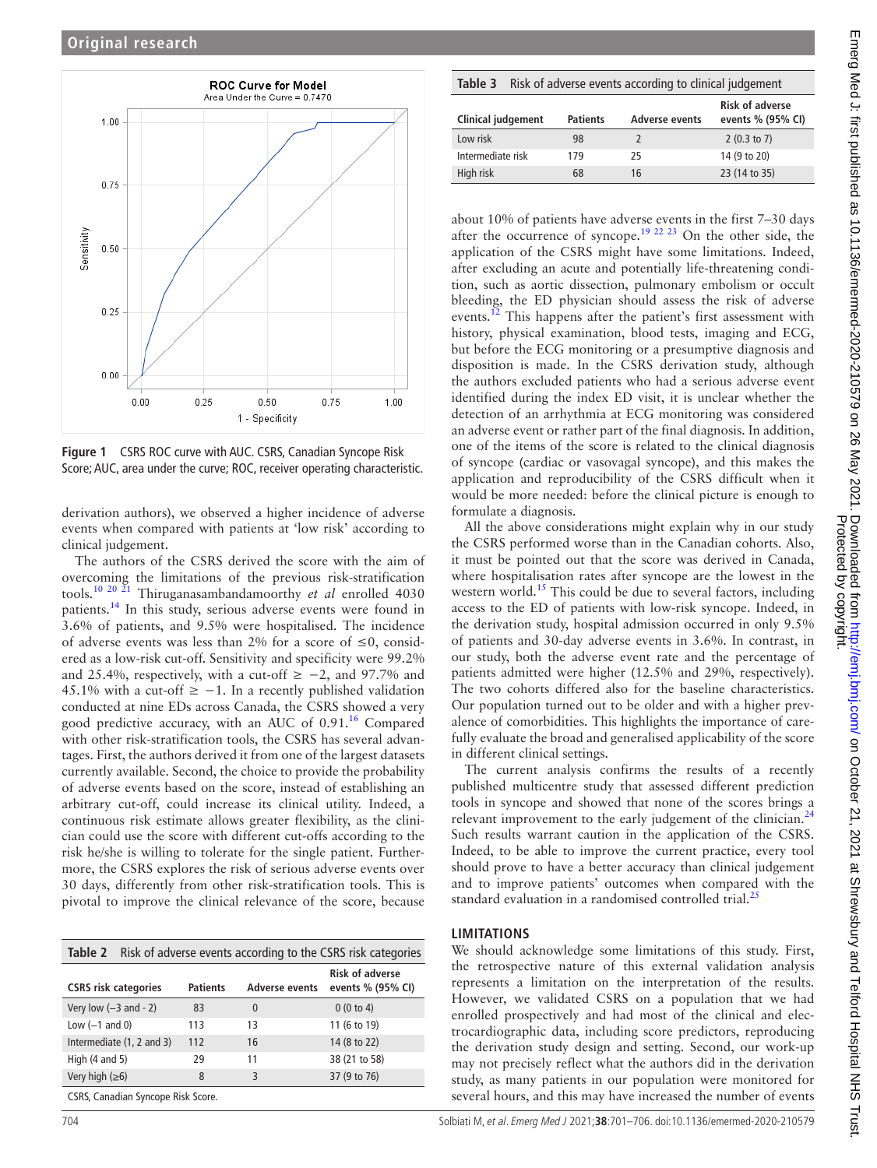

<span id="page-3-0"></span>**Figure 1** CSRS ROC curve with AUC. CSRS, Canadian Syncope Risk Score; AUC, area under the curve; ROC, receiver operating characteristic.

derivation authors), we observed a higher incidence of adverse events when compared with patients at 'low risk' according to clinical judgement.

The authors of the CSRS derived the score with the aim of overcoming the limitations of the previous risk-stratification tools.[10 20 21](#page-5-0) Thiruganasambandamoorthy *et al* enrolled 4030 patients.[14](#page-5-2) In this study, serious adverse events were found in 3.6% of patients, and 9.5% were hospitalised. The incidence of adverse events was less than 2% for a score of  $\leq 0$ , considered as a low-risk cut-off. Sensitivity and specificity were 99.2% and 25.4%, respectively, with a cut-off  $\ge -2$ , and 97.7% and 45.1% with a cut-off  $\ge -1$ . In a recently published validation conducted at nine EDs across Canada, the CSRS showed a very good predictive accuracy, with an AUC of  $0.91<sup>16</sup>$  Compared with other risk-stratification tools, the CSRS has several advantages. First, the authors derived it from one of the largest datasets currently available. Second, the choice to provide the probability of adverse events based on the score, instead of establishing an arbitrary cut-off, could increase its clinical utility. Indeed, a continuous risk estimate allows greater flexibility, as the clinician could use the score with different cut-offs according to the risk he/she is willing to tolerate for the single patient. Furthermore, the CSRS explores the risk of serious adverse events over 30 days, differently from other risk-stratification tools. This is pivotal to improve the clinical relevance of the score, because

<span id="page-3-1"></span>

| <b>Table 2</b> Risk of adverse events according to the CSRS risk categories |                 |                       |                                             |  |  |  |
|-----------------------------------------------------------------------------|-----------------|-----------------------|---------------------------------------------|--|--|--|
| <b>CSRS risk categories</b>                                                 | <b>Patients</b> | <b>Adverse events</b> | <b>Risk of adverse</b><br>events % (95% CI) |  |  |  |
| Very low $(-3$ and $-2)$                                                    | 83              | $\overline{0}$        | 0(0 to 4)                                   |  |  |  |
| Low $(-1$ and 0)                                                            | 113             | 13                    | 11 (6 to 19)                                |  |  |  |
| Intermediate (1, 2 and 3)                                                   | 112             | 16                    | 14 (8 to 22)                                |  |  |  |
| High $(4 \text{ and } 5)$                                                   | 29              | 11                    | 38 (21 to 58)                               |  |  |  |
| Very high $(\geq 6)$                                                        | 8               | 3                     | 37 (9 to 76)                                |  |  |  |
| CSRS, Canadian Syncope Risk Score.                                          |                 |                       |                                             |  |  |  |

<span id="page-3-2"></span>

| Table 3 Risk of adverse events according to clinical judgement |  |  |  |
|----------------------------------------------------------------|--|--|--|
|----------------------------------------------------------------|--|--|--|

| <b>Clinical judgement</b> | <b>Patients</b> | Adverse events | <b>Risk of adverse</b><br>events % (95% CI) |  |  |
|---------------------------|-----------------|----------------|---------------------------------------------|--|--|
| Low risk                  | 98              |                | $2(0.3 \text{ to } 7)$                      |  |  |
| Intermediate risk         | 179             | 25.            | 14 (9 to 20)                                |  |  |
| High risk                 | 68              | 16             | 23 (14 to 35)                               |  |  |

about 10% of patients have adverse events in the first 7–30 days after the occurrence of syncope.<sup>19 22 23</sup> On the other side, the application of the CSRS might have some limitations. Indeed, after excluding an acute and potentially life-threatening condition, such as aortic dissection, pulmonary embolism or occult bleeding, the ED physician should assess the risk of adverse events.<sup>12</sup> This happens after the patient's first assessment with history, physical examination, blood tests, imaging and ECG, but before the ECG monitoring or a presumptive diagnosis and disposition is made. In the CSRS derivation study, although the authors excluded patients who had a serious adverse event identified during the index ED visit, it is unclear whether the detection of an arrhythmia at ECG monitoring was considered an adverse event or rather part of the final diagnosis. In addition, one of the items of the score is related to the clinical diagnosis of syncope (cardiac or vasovagal syncope), and this makes the application and reproducibility of the CSRS difficult when it would be more needed: before the clinical picture is enough to formulate a diagnosis.

All the above considerations might explain why in our study the CSRS performed worse than in the Canadian cohorts. Also, it must be pointed out that the score was derived in Canada, where hospitalisation rates after syncope are the lowest in the western world.<sup>[15](#page-5-3)</sup> This could be due to several factors, including access to the ED of patients with low-risk syncope. Indeed, in the derivation study, hospital admission occurred in only 9.5% of patients and 30-day adverse events in 3.6%. In contrast, in our study, both the adverse event rate and the percentage of patients admitted were higher (12.5% and 29%, respectively). The two cohorts differed also for the baseline characteristics. Our population turned out to be older and with a higher prevalence of comorbidities. This highlights the importance of carefully evaluate the broad and generalised applicability of the score in different clinical settings.

The current analysis confirms the results of a recently published multicentre study that assessed different prediction tools in syncope and showed that none of the scores brings a relevant improvement to the early judgement of the clinician. $^{24}$  $^{24}$  $^{24}$ Such results warrant caution in the application of the CSRS. Indeed, to be able to improve the current practice, every tool should prove to have a better accuracy than clinical judgement and to improve patients' outcomes when compared with the standard evaluation in a randomised controlled trial.<sup>2</sup>

#### **LIMITATIONS**

We should acknowledge some limitations of this study. First, the retrospective nature of this external validation analysis represents a limitation on the interpretation of the results. However, we validated CSRS on a population that we had enrolled prospectively and had most of the clinical and electrocardiographic data, including score predictors, reproducing the derivation study design and setting. Second, our work-up may not precisely reflect what the authors did in the derivation study, as many patients in our population were monitored for several hours, and this may have increased the number of events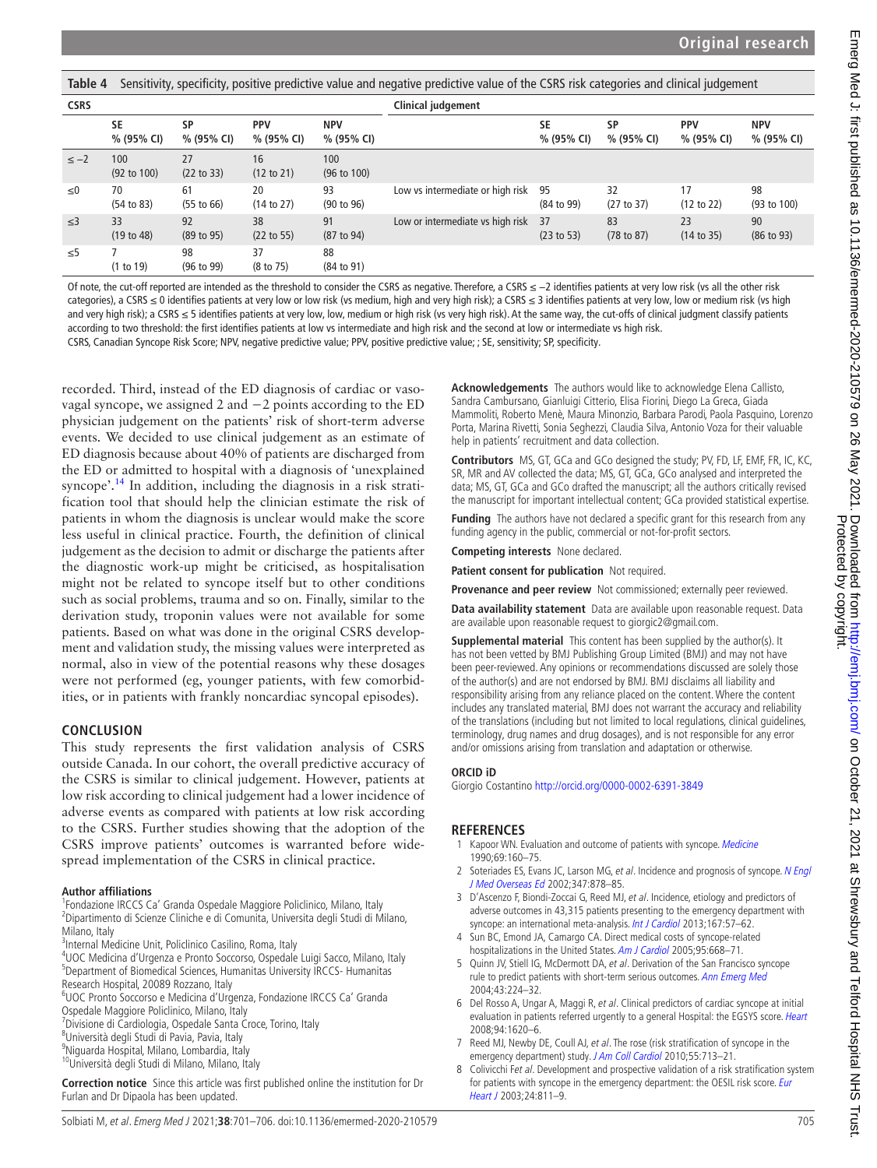<span id="page-4-4"></span>**Table 4** Sensitivity, specificity, positive predictive value and negative predictive value of the CSRS risk categories and clinical judgement

| <b>CSRS</b> |                               |                  | Clinical judgement          |                               |                                  |                         |                         |                          |                          |
|-------------|-------------------------------|------------------|-----------------------------|-------------------------------|----------------------------------|-------------------------|-------------------------|--------------------------|--------------------------|
|             | <b>SE</b><br>% (95% CI)       | SP<br>% (95% CI) | <b>PPV</b><br>% (95% CI)    | <b>NPV</b><br>% (95% CI)      |                                  | <b>SE</b><br>% (95% CI) | <b>SP</b><br>% (95% CI) | <b>PPV</b><br>% (95% CI) | <b>NPV</b><br>% (95% CI) |
| $\leq -2$   | 100<br>$(92 \text{ to } 100)$ | 27<br>(22 to 33) | 16<br>$(12 \text{ to } 21)$ | 100<br>$(96 \text{ to } 100)$ |                                  |                         |                         |                          |                          |
| $\leq 0$    | 70<br>(54 to 83)              | 61<br>(55 to 66) | 20<br>(14 to 27)            | 93<br>(90 to 96)              | Low vs intermediate or high risk | 95<br>(84 to 99)        | 32<br>(27 to 37)        | 17<br>(12 to 22)         | 98<br>(93 to 100)        |
| $\leq$ 3    | 33<br>(19 to 48)              | 92<br>(89 to 95) | 38<br>(22 to 55)            | 91<br>(87 to 94)              | Low or intermediate vs high risk | 37<br>(23 to 53)        | 83<br>(78 to 87)        | 23<br>(14 to 35)         | 90<br>(86 to 93)         |
| $\leq 5$    | (1 to 19)                     | 98<br>(96 to 99) | 37<br>$(8 \text{ to } 75)$  | 88<br>(84 to 91)              |                                  |                         |                         |                          |                          |

Of note, the cut-off reported are intended as the threshold to consider the CSRS as negative. Therefore, a CSRS ≤ -2 identifies patients at very low risk (vs all the other risk categories), a CSRS ≤ 0 identifies patients at very low or low risk (vs medium, high and very high risk); a CSRS ≤ 3 identifies patients at very low, low or medium risk (vs high and very high risk); a CSRS ≤ 5 identifies patients at very low, low, medium or high risk (vs very high risk). At the same way, the cut-offs of clinical judgment classify patients according to two threshold: the first identifies patients at low vs intermediate and high risk and the second at low or intermediate vs high risk.

CSRS, Canadian Syncope Risk Score; NPV, negative predictive value; PPV, positive predictive value; ; SE, sensitivity; SP, specificity.

recorded. Third, instead of the ED diagnosis of cardiac or vasovagal syncope, we assigned 2 and −2 points according to the ED physician judgement on the patients' risk of short-term adverse events. We decided to use clinical judgement as an estimate of ED diagnosis because about 40% of patients are discharged from the ED or admitted to hospital with a diagnosis of 'unexplained syncope'.<sup>14</sup> In addition, including the diagnosis in a risk stratification tool that should help the clinician estimate the risk of patients in whom the diagnosis is unclear would make the score less useful in clinical practice. Fourth, the definition of clinical judgement as the decision to admit or discharge the patients after the diagnostic work-up might be criticised, as hospitalisation might not be related to syncope itself but to other conditions such as social problems, trauma and so on. Finally, similar to the derivation study, troponin values were not available for some patients. Based on what was done in the original CSRS development and validation study, the missing values were interpreted as normal, also in view of the potential reasons why these dosages were not performed (eg, younger patients, with few comorbidities, or in patients with frankly noncardiac syncopal episodes).

# **CONCLUSION**

This study represents the first validation analysis of CSRS outside Canada. In our cohort, the overall predictive accuracy of the CSRS is similar to clinical judgement. However, patients at low risk according to clinical judgement had a lower incidence of adverse events as compared with patients at low risk according to the CSRS. Further studies showing that the adoption of the CSRS improve patients' outcomes is warranted before widespread implementation of the CSRS in clinical practice.

#### **Author affiliations**

<sup>1</sup> Fondazione IRCCS Ca' Granda Ospedale Maggiore Policlinico, Milano, Italy 2 Dipartimento di Scienze Cliniche e di Comunita, Universita degli Studi di Milano, Milano, Italy

<sup>3</sup>Internal Medicine Unit, Policlinico Casilino, Roma, Italy

4 UOC Medicina d'Urgenza e Pronto Soccorso, Ospedale Luigi Sacco, Milano, Italy 5 Department of Biomedical Sciences, Humanitas University IRCCS- Humanitas Research Hospital, 20089 Rozzano, Italy

6 UOC Pronto Soccorso e Medicina d'Urgenza, Fondazione IRCCS Ca' Granda

Ospedale Maggiore Policlinico, Milano, Italy <sup>7</sup> Divisione di Cardiologia, Ospedale Santa Croce, Torino, Italy

8 Università degli Studi di Pavia, Pavia, Italy

9 Niguarda Hospital, Milano, Lombardia, Italy

10Università degli Studi di Milano, Milano, Italy

**Correction notice** Since this article was first published online the institution for Dr Furlan and Dr Dipaola has been updated.

**Acknowledgements** The authors would like to acknowledge Elena Callisto, Sandra Cambursano, Gianluigi Citterio, Elisa Fiorini, Diego La Greca, Giada Mammoliti, Roberto Menè, Maura Minonzio, Barbara Parodi, Paola Pasquino, Lorenzo Porta, Marina Rivetti, Sonia Seghezzi, Claudia Silva, Antonio Voza for their valuable help in patients' recruitment and data collection.

**Contributors** MS, GT, GCa and GCo designed the study; PV, FD, LF, EMF, FR, IC, KC, SR, MR and AV collected the data; MS, GT, GCa, GCo analysed and interpreted the data; MS, GT, GCa and GCo drafted the manuscript; all the authors critically revised the manuscript for important intellectual content; GCa provided statistical expertise.

**Funding** The authors have not declared a specific grant for this research from any funding agency in the public, commercial or not-for-profit sectors.

**Competing interests** None declared.

**Patient consent for publication** Not required.

**Provenance and peer review** Not commissioned; externally peer reviewed.

**Data availability statement** Data are available upon reasonable request. Data are available upon reasonable request to giorgic2@gmail.com.

**Supplemental material** This content has been supplied by the author(s). It has not been vetted by BMJ Publishing Group Limited (BMJ) and may not have been peer-reviewed. Any opinions or recommendations discussed are solely those of the author(s) and are not endorsed by BMJ. BMJ disclaims all liability and responsibility arising from any reliance placed on the content. Where the content includes any translated material, BMJ does not warrant the accuracy and reliability of the translations (including but not limited to local regulations, clinical guidelines, terminology, drug names and drug dosages), and is not responsible for any error and/or omissions arising from translation and adaptation or otherwise.

# **ORCID iD**

Giorgio Costantino<http://orcid.org/0000-0002-6391-3849>

# **REFERENCES**

- <span id="page-4-0"></span>1 Kapoor WN. Evaluation and outcome of patients with syncope. [Medicine](http://dx.doi.org/10.1097/00005792-199005000-00004) 1990;69:160–75.
- <span id="page-4-5"></span>2 Soteriades ES, Evans JC, Larson MG, et al. Incidence and prognosis of syncope. N Engl [J Med Overseas Ed](http://dx.doi.org/10.1056/NEJMoa012407) 2002;347:878–85.
- <span id="page-4-1"></span>3 D'Ascenzo F, Biondi-Zoccai G, Reed MJ, et al. Incidence, etiology and predictors of adverse outcomes in 43,315 patients presenting to the emergency department with syncope: an international meta-analysis. [Int J Cardiol](http://dx.doi.org/10.1016/j.ijcard.2011.11.083) 2013;167:57-62.
- <span id="page-4-2"></span>4 Sun BC, Emond JA, Camargo CA. Direct medical costs of syncope-related hospitalizations in the United States. [Am J Cardiol](http://dx.doi.org/10.1016/j.amjcard.2004.11.013) 2005;95:668–71.
- <span id="page-4-3"></span>5 Quinn JV, Stiell IG, McDermott DA, et al. Derivation of the San Francisco syncope rule to predict patients with short-term serious outcomes. [Ann Emerg Med](http://dx.doi.org/10.1016/S0196-0644(03)00823-0) 2004;43:224–32.
- 6 Del Rosso A, Ungar A, Maggi R, et al. Clinical predictors of cardiac syncope at initial evaluation in patients referred urgently to a general Hospital: the EGSYS score. [Heart](http://dx.doi.org/10.1136/hrt.2008.143123) 2008;94:1620–6.
- 7 Reed MJ, Newby DE, Coull AJ, et al. The rose (risk stratification of syncope in the emergency department) study. [J Am Coll Cardiol](http://dx.doi.org/10.1016/j.jacc.2009.09.049) 2010;55:713-21.
- 8 Colivicchi Fet al. Development and prospective validation of a risk stratification system for patients with syncope in the emergency department: the OESIL risk score. Eur [Heart J](http://dx.doi.org/10.1016/S0195-668X(02)00827-8) 2003;24:811–9.